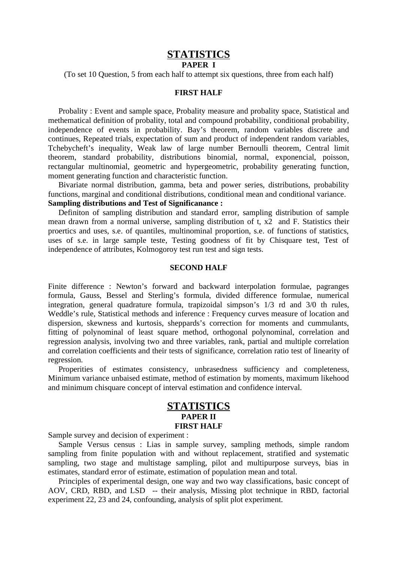# **STATISTICS**

### **PAPER I**

(To set 10 Question, 5 from each half to attempt six questions, three from each half)

### **FIRST HALF**

Probality : Event and sample space, Probality measure and probality space, Statistical and methematical definition of probality, total and compound probability, conditional probability, independence of events in probability. Bay's theorem, random variables discrete and continues, Repeated trials, expectation of sum and product of independent random variables, Tchebycheft's inequality, Weak law of large number Bernoulli theorem, Central limit theorem, standard probability, distributions binomial, normal, exponencial, poisson, rectangular multinomial, geometric and hypergeometric, probability generating function, moment generating function and characteristic function.

Bivariate normal distribution, gamma, beta and power series, distributions, probability functions, marginal and conditional distributions, conditional mean and conditional variance. **Sampling distributions and Test of Significanance :**

Definiton of sampling distribution and standard error, sampling distribution of sample mean drawn from a normal universe, sampling distribution of t, x2 and F. Statistics their proertics and uses, s.e. of quantiles, multinominal proportion, s.e. of functions of statistics, uses of s.e. in large sample teste, Testing goodness of fit by Chisquare test, Test of independence of attributes, Kolmogoroy test run test and sign tests.

#### **SECOND HALF**

Finite difference : Newton's forward and backward interpolation formulae, pagranges formula, Gauss, Bessel and Sterling's formula, divided difference formulae, numerical integration, general quadrature formula, trapizoidal simpson's 1/3 rd and 3/0 th rules, Weddle's rule, Statistical methods and inference : Frequency curves measure of location and dispersion, skewness and kurtosis, sheppards's correction for moments and cummulants, fitting of polynominal of least square method, orthogonal polynominal, correlation and regression analysis, involving two and three variables, rank, partial and multiple correlation and correlation coefficients and their tests of significance, correlation ratio test of linearity of regression.

Properities of estimates consistency, unbrasedness sufficiency and completeness, Minimum variance unbaised estimate, method of estimation by moments, maximum likehood and minimum chisquare concept of interval estimation and confidence interval.

### **STATISTICS PAPER II FIRST HALF**

Sample survey and decision of experiment :

Sample Versus census : Lias in sample survey, sampling methods, simple random sampling from finite population with and without replacement, stratified and systematic sampling, two stage and multistage sampling, pilot and multipurpose surveys, bias in estimates, standard error of estimate, estimation of population mean and total.

Principles of experimental design, one way and two way classifications, basic concept of AOV, CRD, RBD, and LSD -- their analysis, Missing plot technique in RBD, factorial experiment 22, 23 and 24, confounding, analysis of split plot experiment.